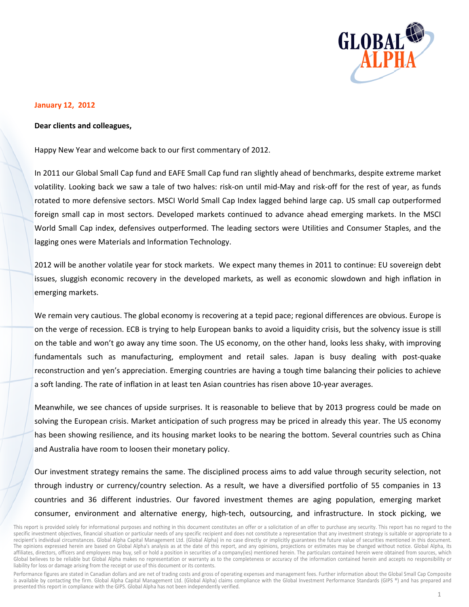

## **January 12, 2012**

## Dear clients and colleagues,

Happy New Year and welcome back to our first commentary of 2012.

In 2011 our Global Small Cap fund and EAFE Small Cap fund ran slightly ahead of benchmarks, despite extreme market volatility. Looking back we saw a tale of two halves: risk-on until mid-May and risk-off for the rest of year, as funds rotated to more defensive sectors. MSCI World Small Cap Index lagged behind large cap. US small cap outperformed foreign small cap in most sectors. Developed markets continued to advance ahead emerging markets. In the MSCI World Small Cap index, defensives outperformed. The leading sectors were Utilities and Consumer Staples, and the lagging ones were Materials and Information Technology.

2012 will be another volatile year for stock markets. We expect many themes in 2011 to continue: EU sovereign debt issues, sluggish economic recovery in the developed markets, as well as economic slowdown and high inflation in emerging markets.

We remain very cautious. The global economy is recovering at a tepid pace; regional differences are obvious. Europe is on the verge of recession. ECB is trying to help European banks to avoid a liquidity crisis, but the solvency issue is still on the table and won't go away any time soon. The US economy, on the other hand, looks less shaky, with improving fundamentals such as manufacturing, employment and retail sales. Japan is busy dealing with post-quake reconstruction and yen's appreciation. Emerging countries are having a tough time balancing their policies to achieve a soft landing. The rate of inflation in at least ten Asian countries has risen above 10-year averages.

Meanwhile, we see chances of upside surprises. It is reasonable to believe that by 2013 progress could be made on solving the European crisis. Market anticipation of such progress may be priced in already this year. The US economy has been showing resilience, and its housing market looks to be nearing the bottom. Several countries such as China and Australia have room to loosen their monetary policy.

Our investment strategy remains the same. The disciplined process aims to add value through security selection, not through industry or currency/country selection. As a result, we have a diversified portfolio of 55 companies in 13 countries and 36 different industries. Our favored investment themes are aging population, emerging market consumer, environment and alternative energy, high-tech, outsourcing, and infrastructure. In stock picking, we

Performance figures are stated in Canadian dollars and are net of trading costs and gross of operating expenses and management fees. Further information about the Global Small Cap Composite is available by contacting the firm. Global Alpha Capital Management Ltd. (Global Alpha) claims compliance with the Global Investment Performance Standards (GIPS ®) and has prepared and presented this report in compliance with the GIPS. Global Alpha has not been independently verified.

This report is provided solely for informational purposes and nothing in this document constitutes an offer or a solicitation of an offer to purchase any security. This report has no regard to the specific investment objectives, financial situation or particular needs of any specific recipient and does not constitute a representation that any investment strategy is suitable or appropriate to a recipient's individual circumstances. Global Alpha Capital Management Ltd. (Global Alpha) in no case directly or implicitly guarantees the future value of securities mentioned in this document. The opinions expressed herein are based on Global Alpha's analysis as at the date of this report, and any opinions, projections or estimates may be changed without notice. Global Alpha, its affiliates, directors, officers and employees may buy, sell or hold a position in securities of a company(ies) mentioned herein. The particulars contained herein were obtained from sources, which Global believes to be reliable but Global Alpha makes no representation or warranty as to the completeness or accuracy of the information contained herein and accepts no responsibility or liability for loss or damage arising from the receipt or use of this document or its contents.